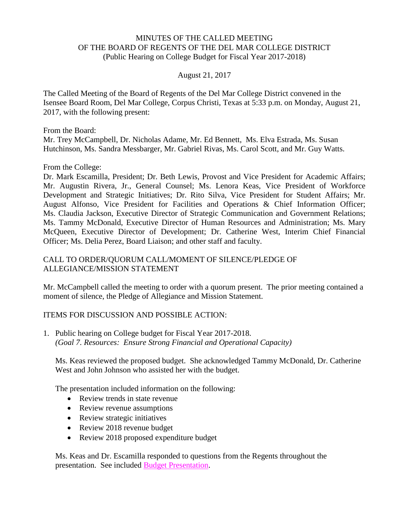## MINUTES OF THE CALLED MEETING OF THE BOARD OF REGENTS OF THE DEL MAR COLLEGE DISTRICT (Public Hearing on College Budget for Fiscal Year 2017-2018)

## August 21, 2017

The Called Meeting of the Board of Regents of the Del Mar College District convened in the Isensee Board Room, Del Mar College, Corpus Christi, Texas at 5:33 p.m. on Monday, August 21, 2017, with the following present:

From the Board: Mr. Trey McCampbell, Dr. Nicholas Adame, Mr. Ed Bennett, Ms. Elva Estrada, Ms. Susan Hutchinson, Ms. Sandra Messbarger, Mr. Gabriel Rivas, Ms. Carol Scott, and Mr. Guy Watts.

From the College:

Dr. Mark Escamilla, President; Dr. Beth Lewis, Provost and Vice President for Academic Affairs; Mr. Augustin Rivera, Jr., General Counsel; Ms. Lenora Keas, Vice President of Workforce Development and Strategic Initiatives; Dr. Rito Silva, Vice President for Student Affairs; Mr. August Alfonso, Vice President for Facilities and Operations & Chief Information Officer; Ms. Claudia Jackson, Executive Director of Strategic Communication and Government Relations; Ms. Tammy McDonald, Executive Director of Human Resources and Administration; Ms. Mary McQueen, Executive Director of Development; Dr. Catherine West, Interim Chief Financial Officer; Ms. Delia Perez, Board Liaison; and other staff and faculty.

## CALL TO ORDER/QUORUM CALL/MOMENT OF SILENCE/PLEDGE OF ALLEGIANCE/MISSION STATEMENT

Mr. McCampbell called the meeting to order with a quorum present. The prior meeting contained a moment of silence, the Pledge of Allegiance and Mission Statement.

## ITEMS FOR DISCUSSION AND POSSIBLE ACTION:

1. Public hearing on College budget for Fiscal Year 2017-2018. *(Goal 7. Resources: Ensure Strong Financial and Operational Capacity)*

Ms. Keas reviewed the proposed budget. She acknowledged Tammy McDonald, Dr. Catherine West and John Johnson who assisted her with the budget.

The presentation included information on the following:

- Review trends in state revenue
- Review revenue assumptions
- Review strategic initiatives
- Review 2018 revenue budget
- Review 2018 proposed expenditure budget

Ms. Keas and Dr. Escamilla responded to questions from the Regents throughout the presentation. See included Budget [Presentation.](http://www.delmar.edu/WorkArea/DownloadAsset.aspx?id=2147486057)